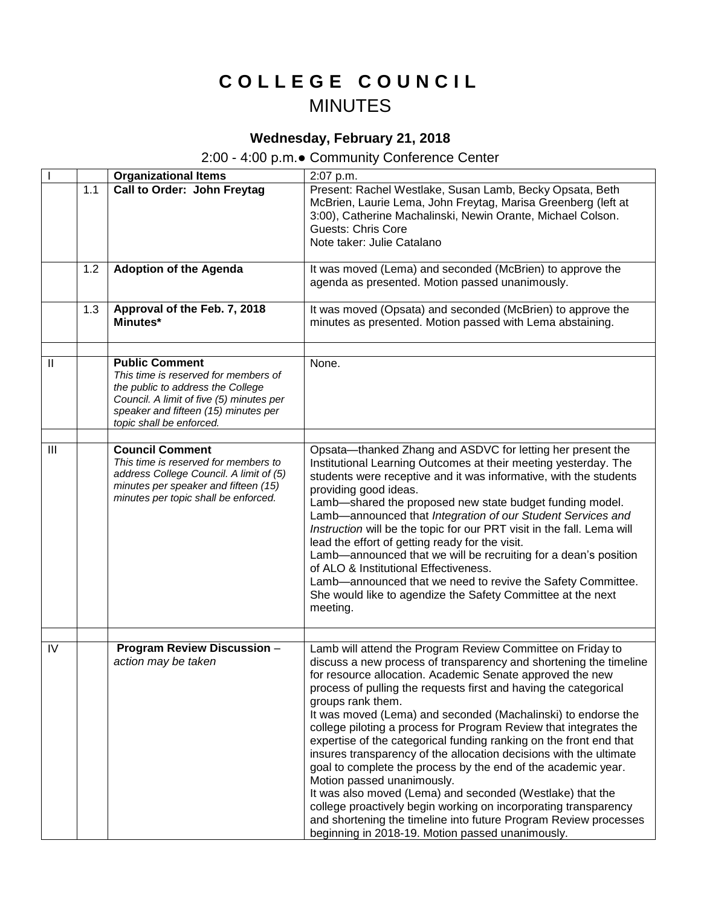## **C O L L E G E C O U N C I L** MINUTES

## **Wednesday, February 21, 2018**

## 2:00 - 4:00 p.m.● Community Conference Center

|               |     | <b>Organizational Items</b>                                                                                                                                                                                        | 2:07 p.m.                                                                                                                                                                                                                                                                                                                                                                                                                                                                                                                                                                                                                                                                                                                                                                                                                                                                                                                      |
|---------------|-----|--------------------------------------------------------------------------------------------------------------------------------------------------------------------------------------------------------------------|--------------------------------------------------------------------------------------------------------------------------------------------------------------------------------------------------------------------------------------------------------------------------------------------------------------------------------------------------------------------------------------------------------------------------------------------------------------------------------------------------------------------------------------------------------------------------------------------------------------------------------------------------------------------------------------------------------------------------------------------------------------------------------------------------------------------------------------------------------------------------------------------------------------------------------|
|               | 1.1 | Call to Order: John Freytag                                                                                                                                                                                        | Present: Rachel Westlake, Susan Lamb, Becky Opsata, Beth<br>McBrien, Laurie Lema, John Freytag, Marisa Greenberg (left at<br>3:00), Catherine Machalinski, Newin Orante, Michael Colson.<br><b>Guests: Chris Core</b><br>Note taker: Julie Catalano                                                                                                                                                                                                                                                                                                                                                                                                                                                                                                                                                                                                                                                                            |
|               | 1.2 | <b>Adoption of the Agenda</b>                                                                                                                                                                                      | It was moved (Lema) and seconded (McBrien) to approve the<br>agenda as presented. Motion passed unanimously.                                                                                                                                                                                                                                                                                                                                                                                                                                                                                                                                                                                                                                                                                                                                                                                                                   |
|               | 1.3 | Approval of the Feb. 7, 2018<br>Minutes*                                                                                                                                                                           | It was moved (Opsata) and seconded (McBrien) to approve the<br>minutes as presented. Motion passed with Lema abstaining.                                                                                                                                                                                                                                                                                                                                                                                                                                                                                                                                                                                                                                                                                                                                                                                                       |
|               |     |                                                                                                                                                                                                                    |                                                                                                                                                                                                                                                                                                                                                                                                                                                                                                                                                                                                                                                                                                                                                                                                                                                                                                                                |
| $\mathbf{II}$ |     | <b>Public Comment</b><br>This time is reserved for members of<br>the public to address the College<br>Council. A limit of five (5) minutes per<br>speaker and fifteen (15) minutes per<br>topic shall be enforced. | None.                                                                                                                                                                                                                                                                                                                                                                                                                                                                                                                                                                                                                                                                                                                                                                                                                                                                                                                          |
|               |     |                                                                                                                                                                                                                    |                                                                                                                                                                                                                                                                                                                                                                                                                                                                                                                                                                                                                                                                                                                                                                                                                                                                                                                                |
| III           |     | <b>Council Comment</b><br>This time is reserved for members to<br>address College Council. A limit of (5)<br>minutes per speaker and fifteen (15)<br>minutes per topic shall be enforced.                          | Opsata-thanked Zhang and ASDVC for letting her present the<br>Institutional Learning Outcomes at their meeting yesterday. The<br>students were receptive and it was informative, with the students<br>providing good ideas.<br>Lamb-shared the proposed new state budget funding model.<br>Lamb-announced that Integration of our Student Services and<br>Instruction will be the topic for our PRT visit in the fall. Lema will<br>lead the effort of getting ready for the visit.<br>Lamb-announced that we will be recruiting for a dean's position<br>of ALO & Institutional Effectiveness.<br>Lamb-announced that we need to revive the Safety Committee.<br>She would like to agendize the Safety Committee at the next<br>meeting.                                                                                                                                                                                      |
| IV            |     | Program Review Discussion -<br>action may be taken                                                                                                                                                                 | Lamb will attend the Program Review Committee on Friday to<br>discuss a new process of transparency and shortening the timeline<br>for resource allocation. Academic Senate approved the new<br>process of pulling the requests first and having the categorical<br>groups rank them.<br>It was moved (Lema) and seconded (Machalinski) to endorse the<br>college piloting a process for Program Review that integrates the<br>expertise of the categorical funding ranking on the front end that<br>insures transparency of the allocation decisions with the ultimate<br>goal to complete the process by the end of the academic year.<br>Motion passed unanimously.<br>It was also moved (Lema) and seconded (Westlake) that the<br>college proactively begin working on incorporating transparency<br>and shortening the timeline into future Program Review processes<br>beginning in 2018-19. Motion passed unanimously. |